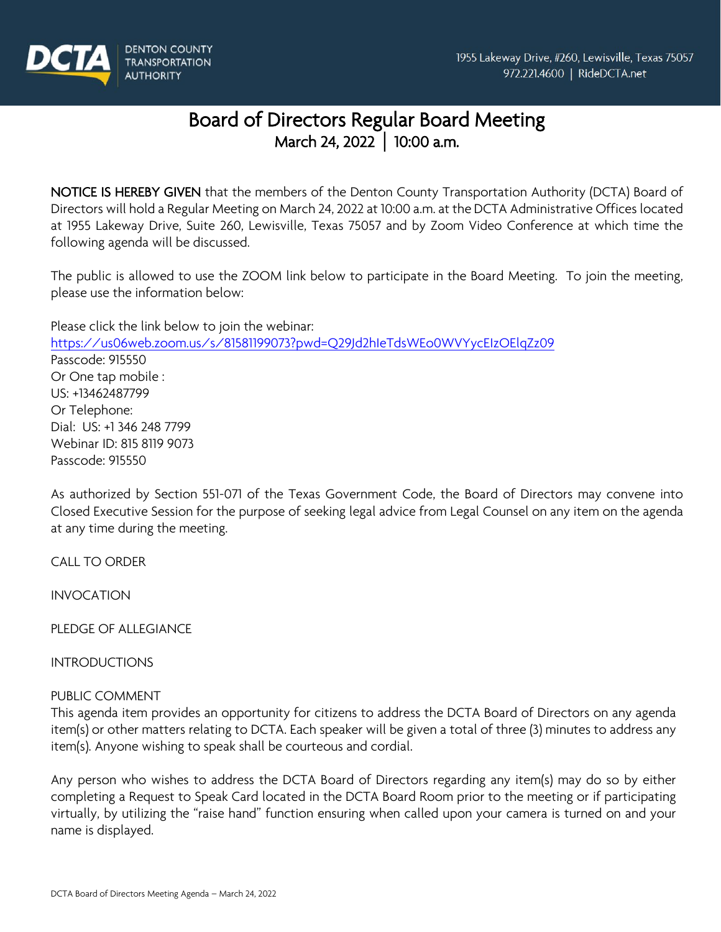

# Board of Directors Regular Board Meeting March 24, 2022 **│** 10:00 a.m.

NOTICE IS HEREBY GIVEN that the members of the Denton County Transportation Authority (DCTA) Board of Directors will hold a Regular Meeting on March 24, 2022 at 10:00 a.m. at the DCTA Administrative Offices located at 1955 Lakeway Drive, Suite 260, Lewisville, Texas 75057 and by Zoom Video Conference at which time the following agenda will be discussed.

The public is allowed to use the ZOOM link below to participate in the Board Meeting. To join the meeting, please use the information below:

Please click the link below to join the webinar: <https://us06web.zoom.us/s/81581199073?pwd=Q29Jd2hIeTdsWEo0WVYycEIzOElqZz09> Passcode: 915550 Or One tap mobile : US: +13462487799 Or Telephone: Dial: US: +1 346 248 7799 Webinar ID: 815 8119 9073 Passcode: 915550

As authorized by Section 551-071 of the Texas Government Code, the Board of Directors may convene into Closed Executive Session for the purpose of seeking legal advice from Legal Counsel on any item on the agenda at any time during the meeting.

CALL TO ORDER

INVOCATION

PLEDGE OF ALLEGIANCE

INTRODUCTIONS

PUBLIC COMMENT

This agenda item provides an opportunity for citizens to address the DCTA Board of Directors on any agenda item(s) or other matters relating to DCTA. Each speaker will be given a total of three (3) minutes to address any item(s). Anyone wishing to speak shall be courteous and cordial.

Any person who wishes to address the DCTA Board of Directors regarding any item(s) may do so by either completing a Request to Speak Card located in the DCTA Board Room prior to the meeting or if participating virtually, by utilizing the "raise hand" function ensuring when called upon your camera is turned on and your name is displayed.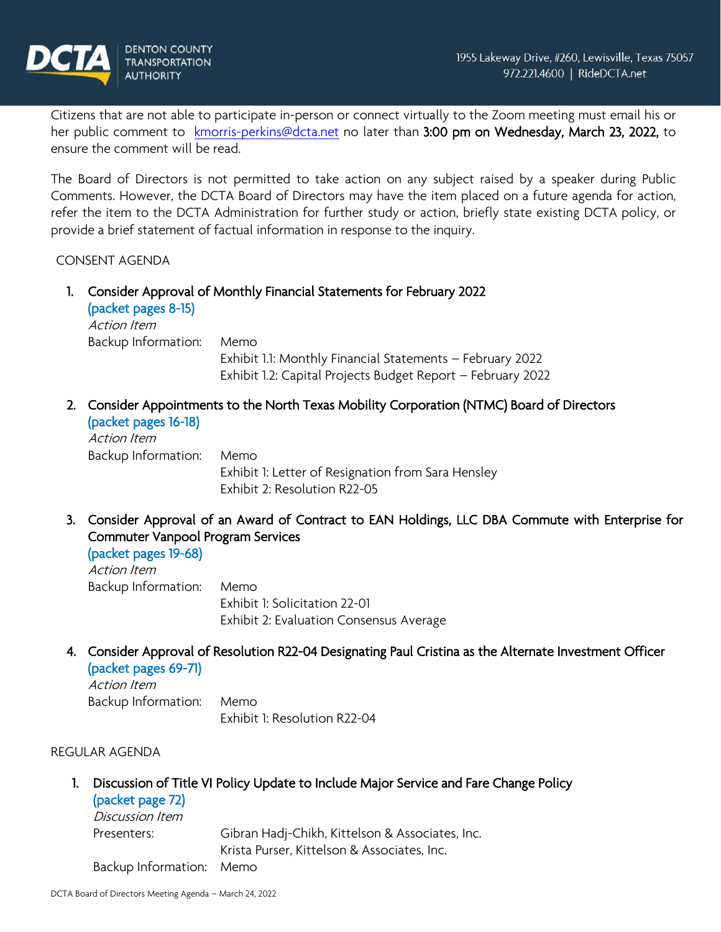

Citizens that are not able to participate in-person or connect virtually to the Zoom meeting must email his or her public comment to [kmorris-perkins@dcta.net](mailto:kmorris-perkins@dcta.net) no later than 3:00 pm on Wednesday, March 23, 2022, to ensure the comment will be read.

The Board of Directors is not permitted to take action on any subject raised by a speaker during Public Comments. However, the DCTA Board of Directors may have the item placed on a future agenda for action, refer the item to the DCTA Administration for further study or action, briefly state existing DCTA policy, or provide a brief statement of factual information in response to the inquiry.

CONSENT AGENDA

- 1. Consider Approval of Monthly Financial Statements for February 2022 (packet pages 8-15) Action Item Backup Information: Memo Exhibit 1.1: Monthly Financial Statements – February 2022 Exhibit 1.2: Capital Projects Budget Report – February 2022
- 2. Consider Appointments to the North Texas Mobility Corporation (NTMC) Board of Directors

(packet pages 16-18) Action Item Backup Information: Memo Exhibit 1: Letter of Resignation from Sara Hensley Exhibit 2: Resolution R22-05

3. Consider Approval of an Award of Contract to EAN Holdings, LLC DBA Commute with Enterprise for Commuter Vanpool Program Services

(packet pages 19-68) Action Item Backup Information: Memo Exhibit 1: Solicitation 22-01 Exhibit 2: Evaluation Consensus Average

4. Consider Approval of Resolution R22-04 Designating Paul Cristina as the Alternate Investment Officer (packet pages 69-71)

Action Item Backup Information: Memo Exhibit 1: Resolution R22-04

### REGULAR AGENDA

1. Discussion of Title VI Policy Update to Include Major Service and Fare Change Policy (packet page 72)

| <i>Discussion Item</i>   |                                                 |
|--------------------------|-------------------------------------------------|
| Presenters:              | Gibran Hadj-Chikh, Kittelson & Associates, Inc. |
|                          | Krista Purser, Kittelson & Associates, Inc.     |
| Backup Information: Memo |                                                 |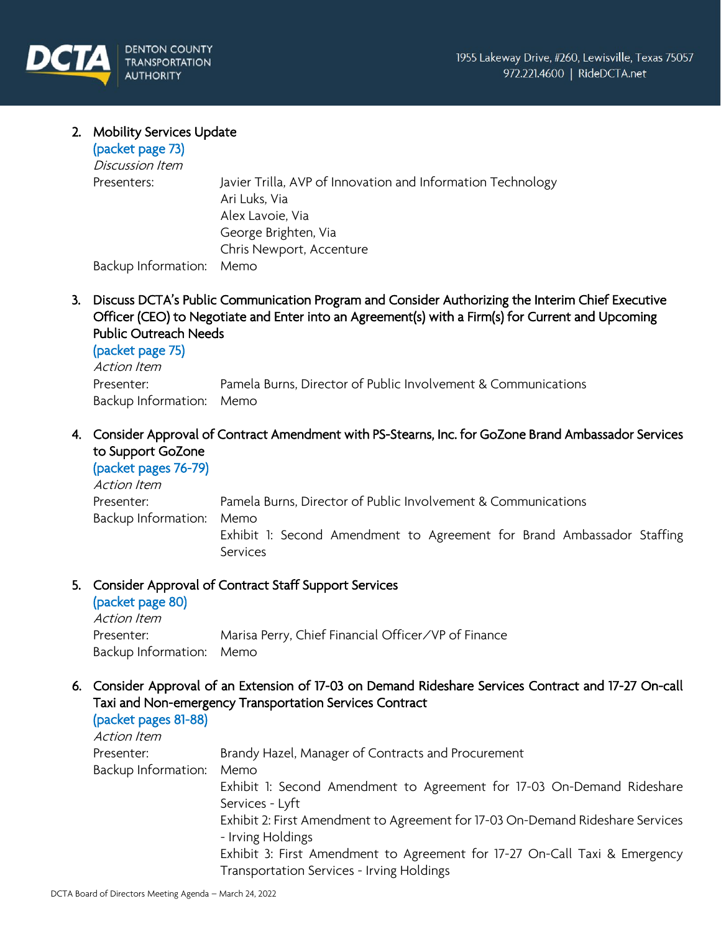# 2. Mobility Services Update

| (packet page 73)    |                                                                              |
|---------------------|------------------------------------------------------------------------------|
| Discussion Item     |                                                                              |
| Presenters:         | Javier Trilla, AVP of Innovation and Information Technology<br>Ari Luks, Via |
|                     | Alex Lavoie, Via                                                             |
|                     | George Brighten, Via                                                         |
|                     | Chris Newport, Accenture                                                     |
| Backup Information: | Memo                                                                         |

3. Discuss DCTA's Public Communication Program and Consider Authorizing the Interim Chief Executive Officer (CEO) to Negotiate and Enter into an Agreement(s) with a Firm(s) for Current and Upcoming Public Outreach Needs

## (packet page 75)

| Action Item              |                                                               |
|--------------------------|---------------------------------------------------------------|
| Presenter:               | Pamela Burns, Director of Public Involvement & Communications |
| Backup Information: Memo |                                                               |

4. Consider Approval of Contract Amendment with PS-Stearns, Inc. for GoZone Brand Ambassador Services to Support GoZone

# (packet pages 76-79)

| Action Item              |                                                                        |
|--------------------------|------------------------------------------------------------------------|
| Presenter:               | Pamela Burns, Director of Public Involvement & Communications          |
| Backup Information: Memo |                                                                        |
|                          | Exhibit 1: Second Amendment to Agreement for Brand Ambassador Staffing |
|                          | <b>Services</b>                                                        |

## 5. Consider Approval of Contract Staff Support Services

## (packet page 80)

| Action Item              |                                                     |
|--------------------------|-----------------------------------------------------|
| Presenter:               | Marisa Perry, Chief Financial Officer/VP of Finance |
| Backup Information: Memo |                                                     |

6. Consider Approval of an Extension of 17-03 on Demand Rideshare Services Contract and 17-27 On-call Taxi and Non-emergency Transportation Services Contract

# (packet pages 81-88)

| Brandy Hazel, Manager of Contracts and Procurement                                                  |
|-----------------------------------------------------------------------------------------------------|
| Memo                                                                                                |
| Exhibit 1: Second Amendment to Agreement for 17-03 On-Demand Rideshare                              |
| Services - Lyft                                                                                     |
| Exhibit 2: First Amendment to Agreement for 17-03 On-Demand Rideshare Services<br>- Irving Holdings |
| Exhibit 3: First Amendment to Agreement for 17-27 On-Call Taxi & Emergency                          |
| Transportation Services - Irving Holdings                                                           |
|                                                                                                     |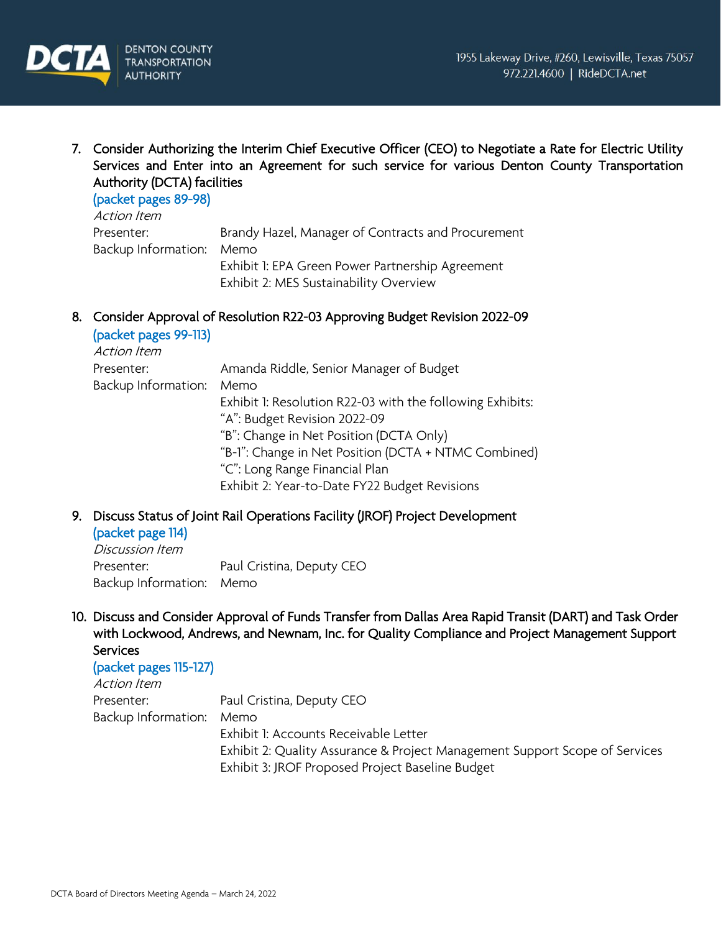

7. Consider Authorizing the Interim Chief Executive Officer (CEO) to Negotiate a Rate for Electric Utility Services and Enter into an Agreement for such service for various Denton County Transportation Authority (DCTA) facilities

#### (packet pages 89-98)

| Action Item              |                                                    |
|--------------------------|----------------------------------------------------|
| Presenter:               | Brandy Hazel, Manager of Contracts and Procurement |
| Backup Information: Memo |                                                    |
|                          | Exhibit 1: EPA Green Power Partnership Agreement   |
|                          | Exhibit 2: MES Sustainability Overview             |

8. Consider Approval of Resolution R22-03 Approving Budget Revision 2022-09 (packet pages 99-113)

| Action Item         |                                                           |
|---------------------|-----------------------------------------------------------|
| Presenter:          | Amanda Riddle, Senior Manager of Budget                   |
| Backup Information: | Memo                                                      |
|                     | Exhibit 1: Resolution R22-03 with the following Exhibits: |
|                     | "A": Budget Revision 2022-09                              |
|                     | "B": Change in Net Position (DCTA Only)                   |
|                     | "B-1": Change in Net Position (DCTA + NTMC Combined)      |
|                     | "C": Long Range Financial Plan                            |
|                     | Exhibit 2: Year-to-Date FY22 Budget Revisions             |

9. Discuss Status of Joint Rail Operations Facility (JROF) Project Development (packet page 114)

Discussion Item Presenter: Paul Cristina, Deputy CEO Backup Information: Memo

10. Discuss and Consider Approval of Funds Transfer from Dallas Area Rapid Transit (DART) and Task Order with Lockwood, Andrews, and Newnam, Inc. for Quality Compliance and Project Management Support **Services** 

| (packet pages 115-127) |                                                                             |
|------------------------|-----------------------------------------------------------------------------|
| Action Item            |                                                                             |
| Presenter:             | Paul Cristina, Deputy CEO                                                   |
| Backup Information:    | Memo                                                                        |
|                        | Exhibit 1: Accounts Receivable Letter                                       |
|                        | Exhibit 2: Quality Assurance & Project Management Support Scope of Services |
|                        | Exhibit 3: JROF Proposed Project Baseline Budget                            |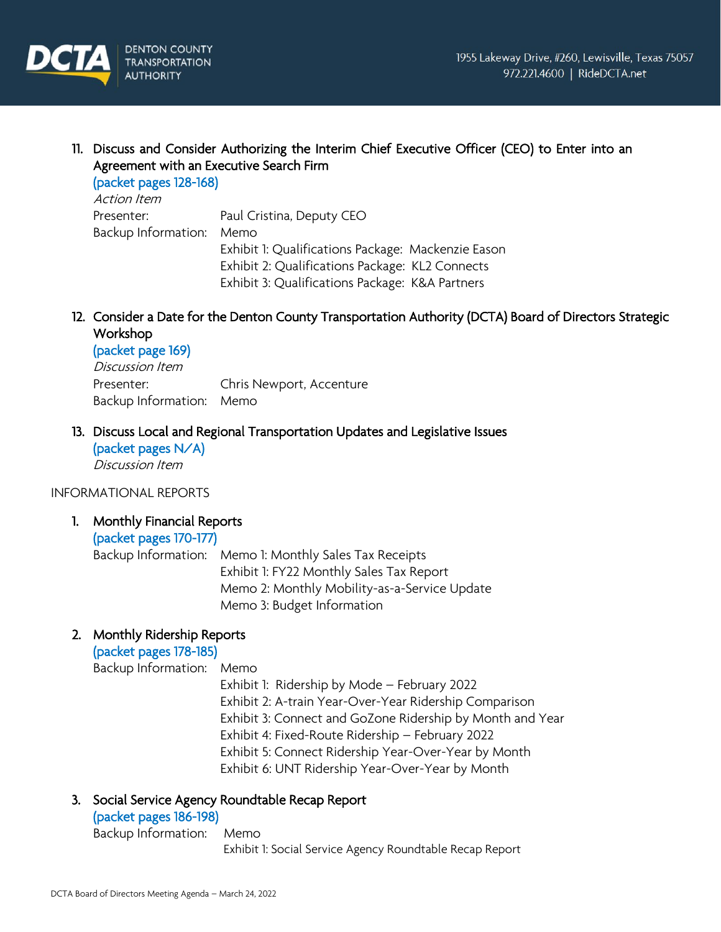

11. Discuss and Consider Authorizing the Interim Chief Executive Officer (CEO) to Enter into an Agreement with an Executive Search Firm

(packet pages 128-168) Action Item

Presenter: Paul Cristina, Deputy CEO Backup Information: Memo Exhibit 1: Qualifications Package: Mackenzie Eason Exhibit 2: Qualifications Package: KL2 Connects Exhibit 3: Qualifications Package: K&A Partners

12. Consider a Date for the Denton County Transportation Authority (DCTA) Board of Directors Strategic Workshop

## (packet page 169)

Discussion Item Presenter: Chris Newport, Accenture Backup Information: Memo

13. Discuss Local and Regional Transportation Updates and Legislative Issues

(packet pages N/A) Discussion Item

### INFORMATIONAL REPORTS

1. Monthly Financial Reports

## (packet pages 170-177)

Backup Information: Memo 1: Monthly Sales Tax Receipts Exhibit 1: FY22 Monthly Sales Tax Report Memo 2: Monthly Mobility-as-a-Service Update Memo 3: Budget Information

## 2. Monthly Ridership Reports

(packet pages 178-185)

Backup Information: Memo

Exhibit 1: Ridership by Mode – February 2022 Exhibit 2: A-train Year-Over-Year Ridership Comparison Exhibit 3: Connect and GoZone Ridership by Month and Year Exhibit 4: Fixed-Route Ridership – February 2022 Exhibit 5: Connect Ridership Year-Over-Year by Month

Exhibit 6: UNT Ridership Year-Over-Year by Month

## 3. Social Service Agency Roundtable Recap Report

## (packet pages 186-198)

Backup Information: Memo

Exhibit 1: Social Service Agency Roundtable Recap Report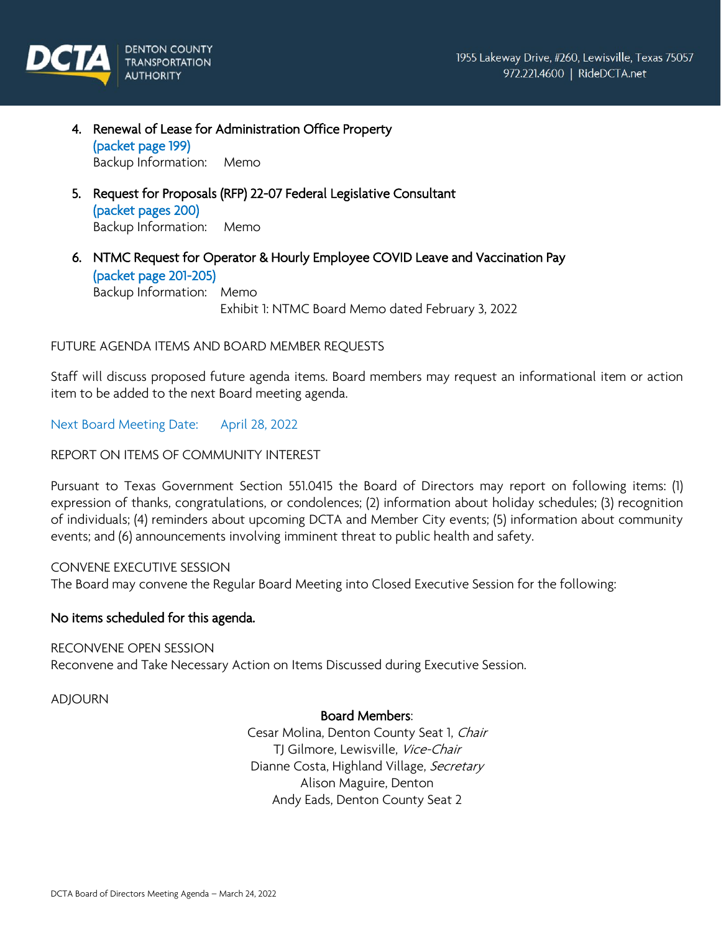

- 4. Renewal of Lease for Administration Office Property (packet page 199) Backup Information: Memo
- 5. Request for Proposals (RFP) 22-07 Federal Legislative Consultant (packet pages 200) Backup Information: Memo
- 6. NTMC Request for Operator & Hourly Employee COVID Leave and Vaccination Pay (packet page 201-205) Backup Information: Memo Exhibit 1: NTMC Board Memo dated February 3, 2022

### FUTURE AGENDA ITEMS AND BOARD MEMBER REQUESTS

Staff will discuss proposed future agenda items. Board members may request an informational item or action item to be added to the next Board meeting agenda.

Next Board Meeting Date: April 28, 2022

REPORT ON ITEMS OF COMMUNITY INTEREST

Pursuant to Texas Government Section 551.0415 the Board of Directors may report on following items: (1) expression of thanks, congratulations, or condolences; (2) information about holiday schedules; (3) recognition of individuals; (4) reminders about upcoming DCTA and Member City events; (5) information about community events; and (6) announcements involving imminent threat to public health and safety.

CONVENE EXECUTIVE SESSION The Board may convene the Regular Board Meeting into Closed Executive Session for the following:

### No items scheduled for this agenda.

RECONVENE OPEN SESSION

Reconvene and Take Necessary Action on Items Discussed during Executive Session.

ADJOURN

#### Board Members:

Cesar Molina, Denton County Seat 1, Chair TJ Gilmore, Lewisville, Vice-Chair Dianne Costa, Highland Village, Secretary Alison Maguire, Denton Andy Eads, Denton County Seat 2